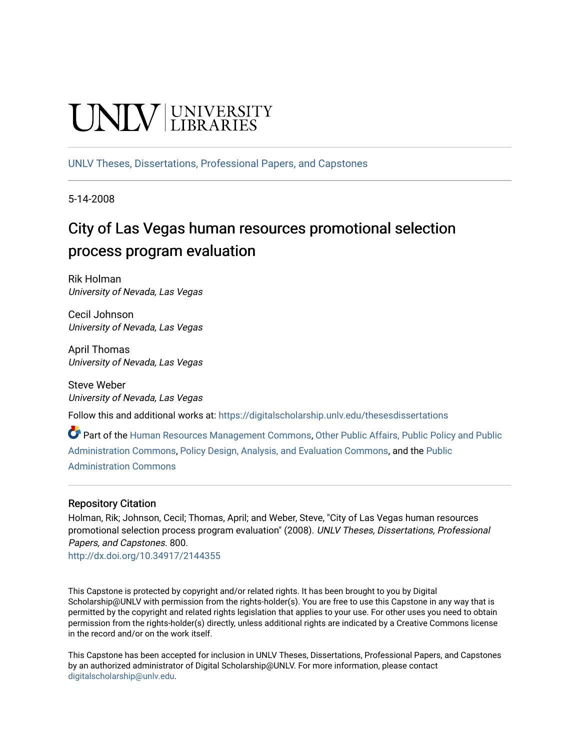# **UNIV LIBRARIES**

[UNLV Theses, Dissertations, Professional Papers, and Capstones](https://digitalscholarship.unlv.edu/thesesdissertations)

5-14-2008

## City of Las Vegas human resources promotional selection process program evaluation

Rik Holman University of Nevada, Las Vegas

Cecil Johnson University of Nevada, Las Vegas

April Thomas University of Nevada, Las Vegas

Steve Weber University of Nevada, Las Vegas

Follow this and additional works at: [https://digitalscholarship.unlv.edu/thesesdissertations](https://digitalscholarship.unlv.edu/thesesdissertations?utm_source=digitalscholarship.unlv.edu%2Fthesesdissertations%2F800&utm_medium=PDF&utm_campaign=PDFCoverPages)

Part of the [Human Resources Management Commons,](http://network.bepress.com/hgg/discipline/633?utm_source=digitalscholarship.unlv.edu%2Fthesesdissertations%2F800&utm_medium=PDF&utm_campaign=PDFCoverPages) [Other Public Affairs, Public Policy and Public](http://network.bepress.com/hgg/discipline/403?utm_source=digitalscholarship.unlv.edu%2Fthesesdissertations%2F800&utm_medium=PDF&utm_campaign=PDFCoverPages) [Administration Commons,](http://network.bepress.com/hgg/discipline/403?utm_source=digitalscholarship.unlv.edu%2Fthesesdissertations%2F800&utm_medium=PDF&utm_campaign=PDFCoverPages) [Policy Design, Analysis, and Evaluation Commons](http://network.bepress.com/hgg/discipline/1032?utm_source=digitalscholarship.unlv.edu%2Fthesesdissertations%2F800&utm_medium=PDF&utm_campaign=PDFCoverPages), and the [Public](http://network.bepress.com/hgg/discipline/398?utm_source=digitalscholarship.unlv.edu%2Fthesesdissertations%2F800&utm_medium=PDF&utm_campaign=PDFCoverPages)  [Administration Commons](http://network.bepress.com/hgg/discipline/398?utm_source=digitalscholarship.unlv.edu%2Fthesesdissertations%2F800&utm_medium=PDF&utm_campaign=PDFCoverPages) 

#### Repository Citation

Holman, Rik; Johnson, Cecil; Thomas, April; and Weber, Steve, "City of Las Vegas human resources promotional selection process program evaluation" (2008). UNLV Theses, Dissertations, Professional Papers, and Capstones. 800.

<http://dx.doi.org/10.34917/2144355>

This Capstone is protected by copyright and/or related rights. It has been brought to you by Digital Scholarship@UNLV with permission from the rights-holder(s). You are free to use this Capstone in any way that is permitted by the copyright and related rights legislation that applies to your use. For other uses you need to obtain permission from the rights-holder(s) directly, unless additional rights are indicated by a Creative Commons license in the record and/or on the work itself.

This Capstone has been accepted for inclusion in UNLV Theses, Dissertations, Professional Papers, and Capstones by an authorized administrator of Digital Scholarship@UNLV. For more information, please contact [digitalscholarship@unlv.edu](mailto:digitalscholarship@unlv.edu).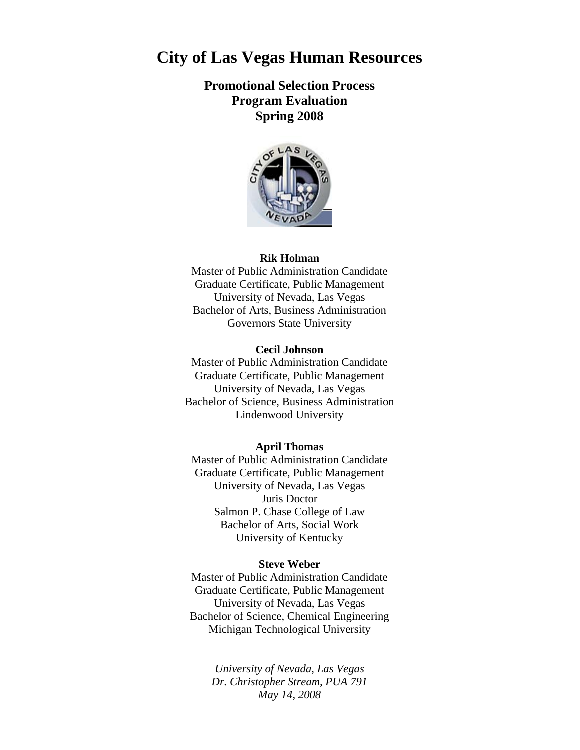## **City of Las Vegas Human Resources**

### **Promotional Selection Process Program Evaluation Spring 2008**



#### **Rik Holman**

Master of Public Administration Candidate Graduate Certificate, Public Management University of Nevada, Las Vegas Bachelor of Arts, Business Administration Governors State University

#### **Cecil Johnson**

Master of Public Administration Candidate Graduate Certificate, Public Management University of Nevada, Las Vegas Bachelor of Science, Business Administration Lindenwood University

#### **April Thomas**

Master of Public Administration Candidate Graduate Certificate, Public Management University of Nevada, Las Vegas Juris Doctor Salmon P. Chase College of Law Bachelor of Arts, Social Work University of Kentucky

#### **Steve Weber**

Master of Public Administration Candidate Graduate Certificate, Public Management University of Nevada, Las Vegas Bachelor of Science, Chemical Engineering Michigan Technological University

> *University of Nevada, Las Vegas Dr. Christopher Stream, PUA 791 May 14, 2008*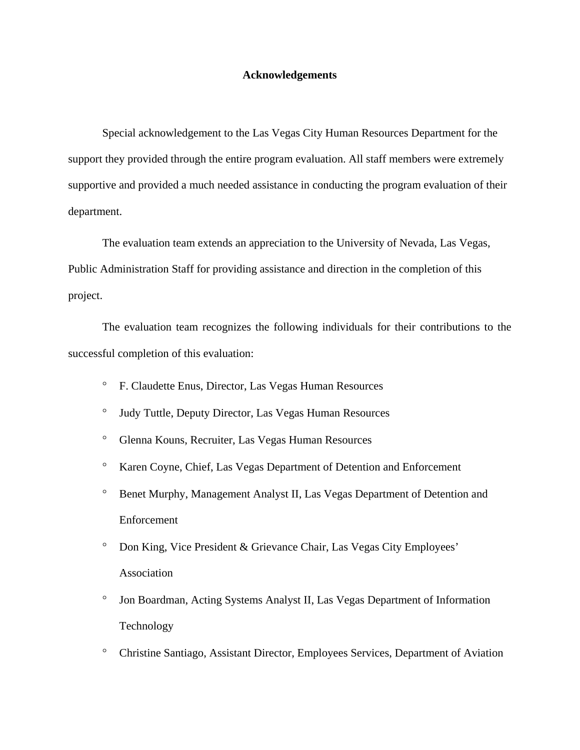#### **Acknowledgements**

Special acknowledgement to the Las Vegas City Human Resources Department for the support they provided through the entire program evaluation. All staff members were extremely supportive and provided a much needed assistance in conducting the program evaluation of their department.

The evaluation team extends an appreciation to the University of Nevada, Las Vegas, Public Administration Staff for providing assistance and direction in the completion of this project.

The evaluation team recognizes the following individuals for their contributions to the successful completion of this evaluation:

- ° F. Claudette Enus, Director, Las Vegas Human Resources
- ° Judy Tuttle, Deputy Director, Las Vegas Human Resources
- ° Glenna Kouns, Recruiter, Las Vegas Human Resources
- ° Karen Coyne, Chief, Las Vegas Department of Detention and Enforcement
- ° Benet Murphy, Management Analyst II, Las Vegas Department of Detention and Enforcement
- ° Don King, Vice President & Grievance Chair, Las Vegas City Employees' Association
- ° Jon Boardman, Acting Systems Analyst II, Las Vegas Department of Information Technology
- ° Christine Santiago, Assistant Director, Employees Services, Department of Aviation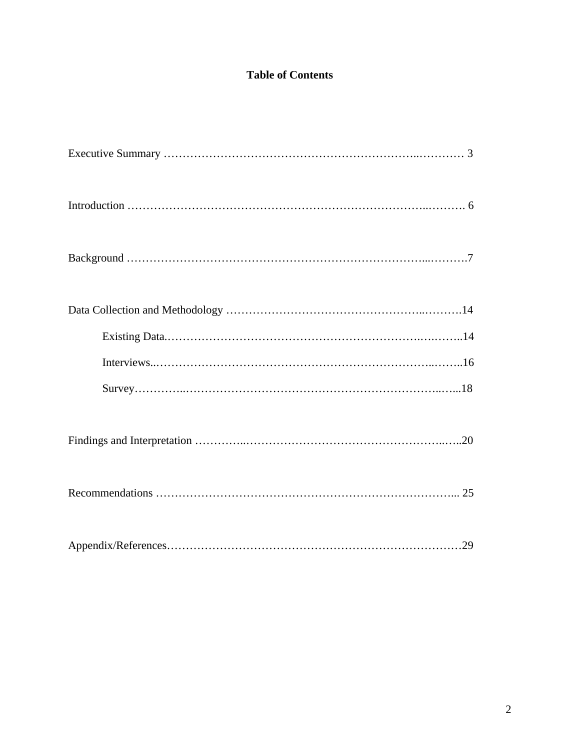## **Table of Contents**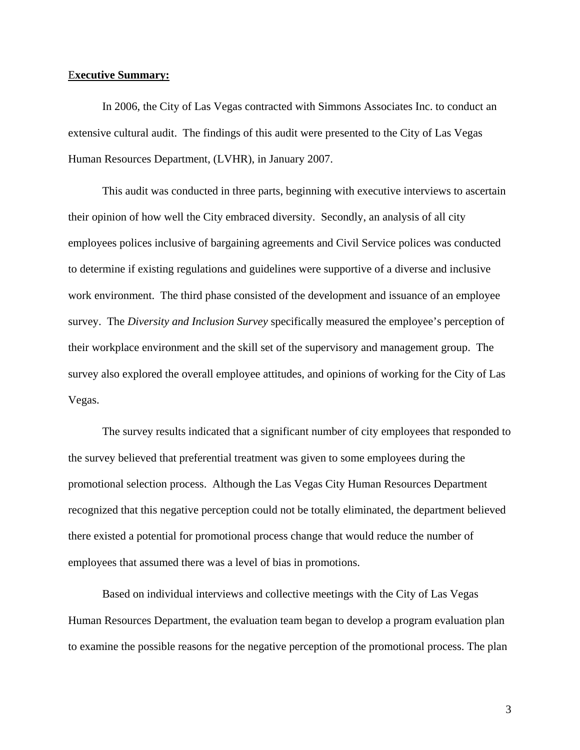#### E**xecutive Summary:**

In 2006, the City of Las Vegas contracted with Simmons Associates Inc. to conduct an extensive cultural audit. The findings of this audit were presented to the City of Las Vegas Human Resources Department, (LVHR), in January 2007.

This audit was conducted in three parts, beginning with executive interviews to ascertain their opinion of how well the City embraced diversity. Secondly, an analysis of all city employees polices inclusive of bargaining agreements and Civil Service polices was conducted to determine if existing regulations and guidelines were supportive of a diverse and inclusive work environment. The third phase consisted of the development and issuance of an employee survey. The *Diversity and Inclusion Survey* specifically measured the employee's perception of their workplace environment and the skill set of the supervisory and management group. The survey also explored the overall employee attitudes, and opinions of working for the City of Las Vegas.

The survey results indicated that a significant number of city employees that responded to the survey believed that preferential treatment was given to some employees during the promotional selection process. Although the Las Vegas City Human Resources Department recognized that this negative perception could not be totally eliminated, the department believed there existed a potential for promotional process change that would reduce the number of employees that assumed there was a level of bias in promotions.

Based on individual interviews and collective meetings with the City of Las Vegas Human Resources Department, the evaluation team began to develop a program evaluation plan to examine the possible reasons for the negative perception of the promotional process. The plan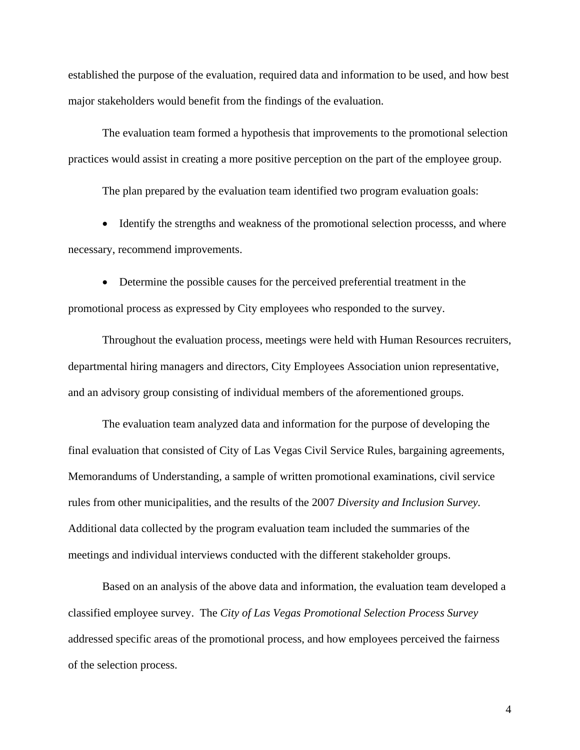established the purpose of the evaluation, required data and information to be used, and how best major stakeholders would benefit from the findings of the evaluation.

The evaluation team formed a hypothesis that improvements to the promotional selection practices would assist in creating a more positive perception on the part of the employee group.

The plan prepared by the evaluation team identified two program evaluation goals:

• Identify the strengths and weakness of the promotional selection processs, and where necessary, recommend improvements.

• Determine the possible causes for the perceived preferential treatment in the promotional process as expressed by City employees who responded to the survey.

Throughout the evaluation process, meetings were held with Human Resources recruiters, departmental hiring managers and directors, City Employees Association union representative, and an advisory group consisting of individual members of the aforementioned groups.

The evaluation team analyzed data and information for the purpose of developing the final evaluation that consisted of City of Las Vegas Civil Service Rules, bargaining agreements, Memorandums of Understanding, a sample of written promotional examinations, civil service rules from other municipalities, and the results of the 2007 *Diversity and Inclusion Survey.* Additional data collected by the program evaluation team included the summaries of the meetings and individual interviews conducted with the different stakeholder groups.

Based on an analysis of the above data and information, the evaluation team developed a classified employee survey. The *City of Las Vegas Promotional Selection Process Survey* addressed specific areas of the promotional process, and how employees perceived the fairness of the selection process.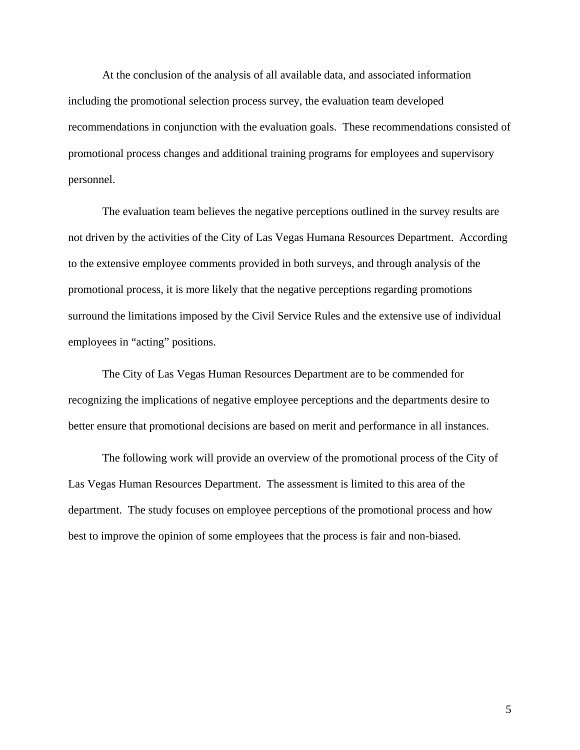At the conclusion of the analysis of all available data, and associated information including the promotional selection process survey, the evaluation team developed recommendations in conjunction with the evaluation goals. These recommendations consisted of promotional process changes and additional training programs for employees and supervisory personnel.

The evaluation team believes the negative perceptions outlined in the survey results are not driven by the activities of the City of Las Vegas Humana Resources Department. According to the extensive employee comments provided in both surveys, and through analysis of the promotional process, it is more likely that the negative perceptions regarding promotions surround the limitations imposed by the Civil Service Rules and the extensive use of individual employees in "acting" positions.

The City of Las Vegas Human Resources Department are to be commended for recognizing the implications of negative employee perceptions and the departments desire to better ensure that promotional decisions are based on merit and performance in all instances.

The following work will provide an overview of the promotional process of the City of Las Vegas Human Resources Department. The assessment is limited to this area of the department. The study focuses on employee perceptions of the promotional process and how best to improve the opinion of some employees that the process is fair and non-biased.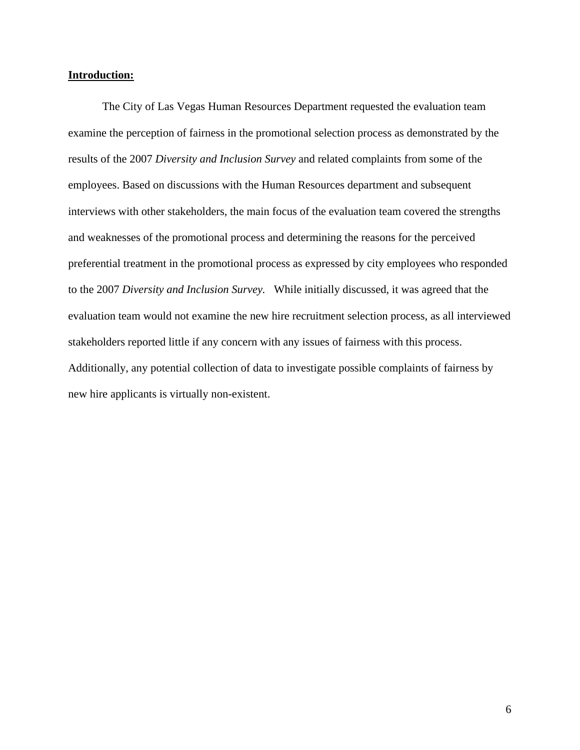#### **Introduction:**

The City of Las Vegas Human Resources Department requested the evaluation team examine the perception of fairness in the promotional selection process as demonstrated by the results of the 2007 *Diversity and Inclusion Survey* and related complaints from some of the employees. Based on discussions with the Human Resources department and subsequent interviews with other stakeholders, the main focus of the evaluation team covered the strengths and weaknesses of the promotional process and determining the reasons for the perceived preferential treatment in the promotional process as expressed by city employees who responded to the 2007 *Diversity and Inclusion Survey.* While initially discussed, it was agreed that the evaluation team would not examine the new hire recruitment selection process, as all interviewed stakeholders reported little if any concern with any issues of fairness with this process. Additionally, any potential collection of data to investigate possible complaints of fairness by new hire applicants is virtually non-existent.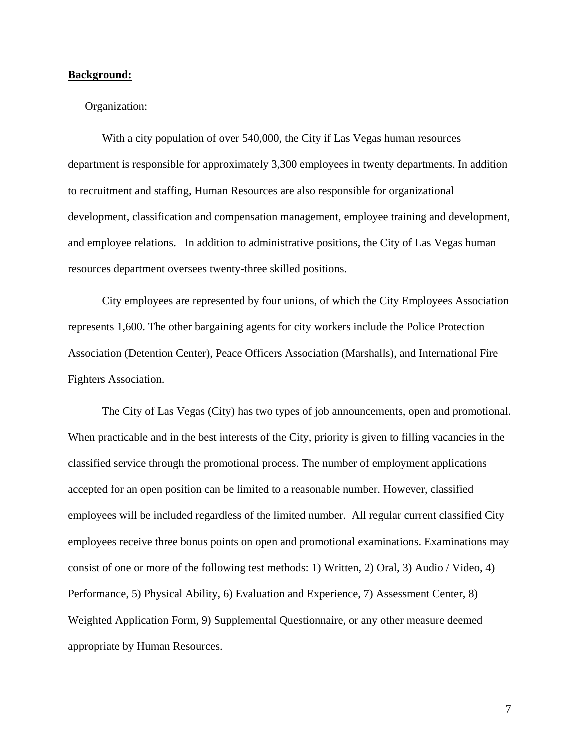#### **Background:**

#### Organization:

With a city population of over 540,000, the City if Las Vegas human resources department is responsible for approximately 3,300 employees in twenty departments. In addition to recruitment and staffing, Human Resources are also responsible for organizational development, classification and compensation management, employee training and development, and employee relations. In addition to administrative positions, the City of Las Vegas human resources department oversees twenty-three skilled positions.

City employees are represented by four unions, of which the City Employees Association represents 1,600. The other bargaining agents for city workers include the Police Protection Association (Detention Center), Peace Officers Association (Marshalls), and International Fire Fighters Association.

The City of Las Vegas (City) has two types of job announcements, open and promotional. When practicable and in the best interests of the City, priority is given to filling vacancies in the classified service through the promotional process. The number of employment applications accepted for an open position can be limited to a reasonable number. However, classified employees will be included regardless of the limited number. All regular current classified City employees receive three bonus points on open and promotional examinations. Examinations may consist of one or more of the following test methods: 1) Written, 2) Oral, 3) Audio / Video, 4) Performance, 5) Physical Ability, 6) Evaluation and Experience, 7) Assessment Center, 8) Weighted Application Form, 9) Supplemental Questionnaire, or any other measure deemed appropriate by Human Resources.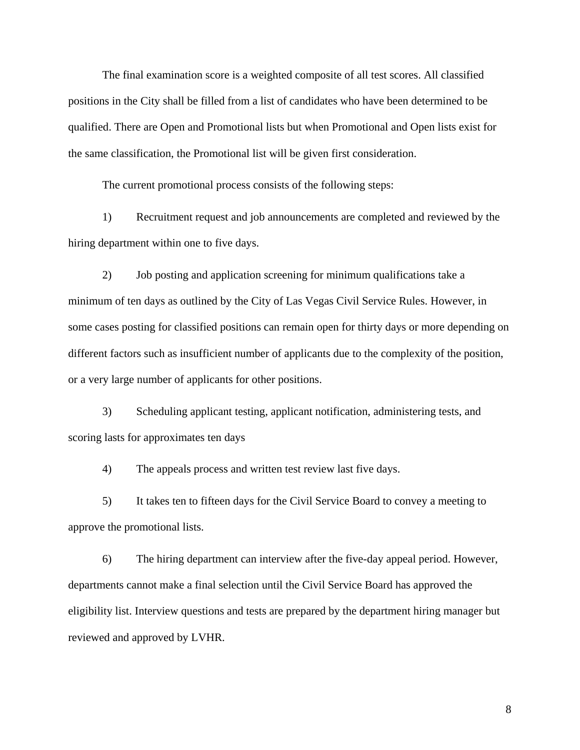The final examination score is a weighted composite of all test scores. All classified positions in the City shall be filled from a list of candidates who have been determined to be qualified. There are Open and Promotional lists but when Promotional and Open lists exist for the same classification, the Promotional list will be given first consideration.

The current promotional process consists of the following steps:

1) Recruitment request and job announcements are completed and reviewed by the hiring department within one to five days.

2) Job posting and application screening for minimum qualifications take a minimum of ten days as outlined by the City of Las Vegas Civil Service Rules. However, in some cases posting for classified positions can remain open for thirty days or more depending on different factors such as insufficient number of applicants due to the complexity of the position, or a very large number of applicants for other positions.

3) Scheduling applicant testing, applicant notification, administering tests, and scoring lasts for approximates ten days

4) The appeals process and written test review last five days.

5) It takes ten to fifteen days for the Civil Service Board to convey a meeting to approve the promotional lists.

6) The hiring department can interview after the five-day appeal period. However, departments cannot make a final selection until the Civil Service Board has approved the eligibility list. Interview questions and tests are prepared by the department hiring manager but reviewed and approved by LVHR.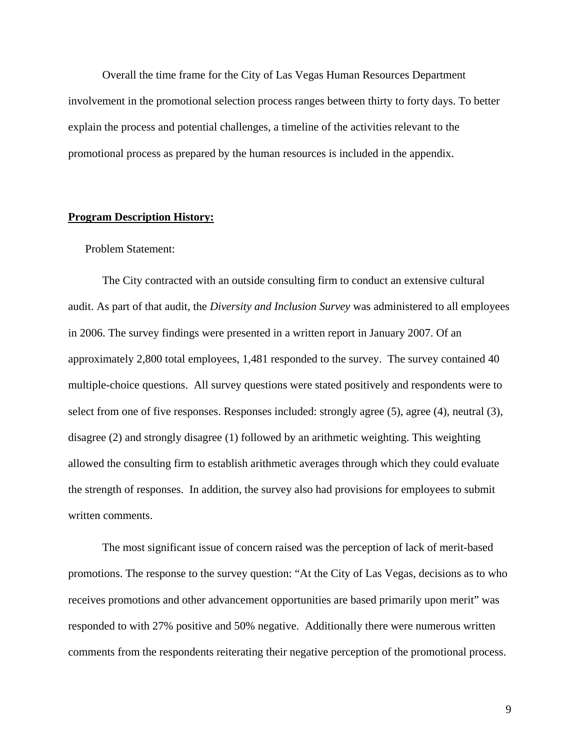Overall the time frame for the City of Las Vegas Human Resources Department involvement in the promotional selection process ranges between thirty to forty days. To better explain the process and potential challenges, a timeline of the activities relevant to the promotional process as prepared by the human resources is included in the appendix.

#### **Program Description History:**

#### Problem Statement:

The City contracted with an outside consulting firm to conduct an extensive cultural audit. As part of that audit, the *Diversity and Inclusion Survey* was administered to all employees in 2006. The survey findings were presented in a written report in January 2007. Of an approximately 2,800 total employees, 1,481 responded to the survey. The survey contained 40 multiple-choice questions. All survey questions were stated positively and respondents were to select from one of five responses. Responses included: strongly agree (5), agree (4), neutral (3), disagree (2) and strongly disagree (1) followed by an arithmetic weighting. This weighting allowed the consulting firm to establish arithmetic averages through which they could evaluate the strength of responses. In addition, the survey also had provisions for employees to submit written comments.

The most significant issue of concern raised was the perception of lack of merit-based promotions. The response to the survey question: "At the City of Las Vegas, decisions as to who receives promotions and other advancement opportunities are based primarily upon merit" was responded to with 27% positive and 50% negative. Additionally there were numerous written comments from the respondents reiterating their negative perception of the promotional process.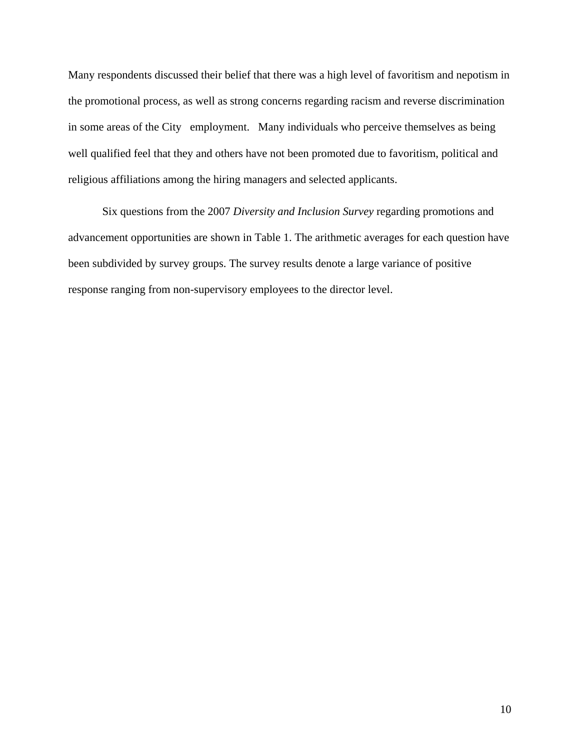Many respondents discussed their belief that there was a high level of favoritism and nepotism in the promotional process, as well as strong concerns regarding racism and reverse discrimination in some areas of the City employment. Many individuals who perceive themselves as being well qualified feel that they and others have not been promoted due to favoritism, political and religious affiliations among the hiring managers and selected applicants.

Six questions from the 2007 *Diversity and Inclusion Survey* regarding promotions and advancement opportunities are shown in Table 1. The arithmetic averages for each question have been subdivided by survey groups. The survey results denote a large variance of positive response ranging from non-supervisory employees to the director level.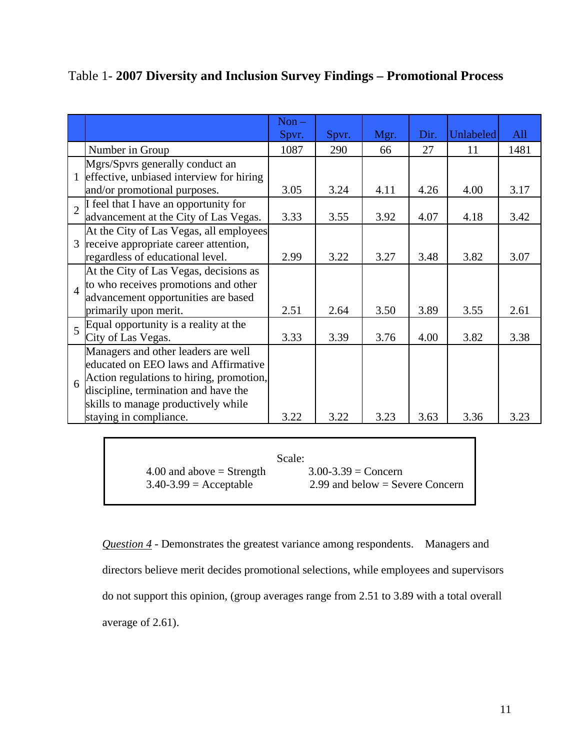|                |                                          | $Non -$ |       |      |      |           |      |
|----------------|------------------------------------------|---------|-------|------|------|-----------|------|
|                |                                          | Spvr.   | Spvr. | Mgr. | Dir. | Unlabeled | All  |
|                | Number in Group                          | 1087    | 290   | 66   | 27   | 11        | 1481 |
|                | Mgrs/Spvrs generally conduct an          |         |       |      |      |           |      |
|                | effective, unbiased interview for hiring |         |       |      |      |           |      |
|                | and/or promotional purposes.             | 3.05    | 3.24  | 4.11 | 4.26 | 4.00      | 3.17 |
|                | I feel that I have an opportunity for    |         |       |      |      |           |      |
|                | advancement at the City of Las Vegas.    | 3.33    | 3.55  | 3.92 | 4.07 | 4.18      | 3.42 |
| 3              | At the City of Las Vegas, all employees  |         |       |      |      |           |      |
|                | receive appropriate career attention,    |         |       |      |      |           |      |
|                | regardless of educational level.         | 2.99    | 3.22  | 3.27 | 3.48 | 3.82      | 3.07 |
| $\overline{4}$ | At the City of Las Vegas, decisions as   |         |       |      |      |           |      |
|                | to who receives promotions and other     |         |       |      |      |           |      |
|                | advancement opportunities are based      |         |       |      |      |           |      |
|                | primarily upon merit.                    | 2.51    | 2.64  | 3.50 | 3.89 | 3.55      | 2.61 |
| $\overline{5}$ | Equal opportunity is a reality at the    |         |       |      |      |           |      |
|                | City of Las Vegas.                       | 3.33    | 3.39  | 3.76 | 4.00 | 3.82      | 3.38 |
|                | Managers and other leaders are well      |         |       |      |      |           |      |
| 6              | educated on EEO laws and Affirmative     |         |       |      |      |           |      |
|                | Action regulations to hiring, promotion, |         |       |      |      |           |      |
|                | discipline, termination and have the     |         |       |      |      |           |      |
|                | skills to manage productively while      |         |       |      |      |           |      |
|                | staying in compliance.                   | 3.22    | 3.22  | 3.23 | 3.63 | 3.36      | 3.23 |

Table 1- **2007 Diversity and Inclusion Survey Findings – Promotional Process**

|                             | Scale:                            |
|-----------------------------|-----------------------------------|
| 4.00 and above $=$ Strength | $3.00 - 3.39 = \text{Concern}$    |
| $3.40 - 3.99$ = Acceptable  | 2.99 and below $=$ Severe Concern |

*Question 4* - Demonstrates the greatest variance among respondents. Managers and directors believe merit decides promotional selections, while employees and supervisors do not support this opinion, (group averages range from 2.51 to 3.89 with a total overall average of 2.61).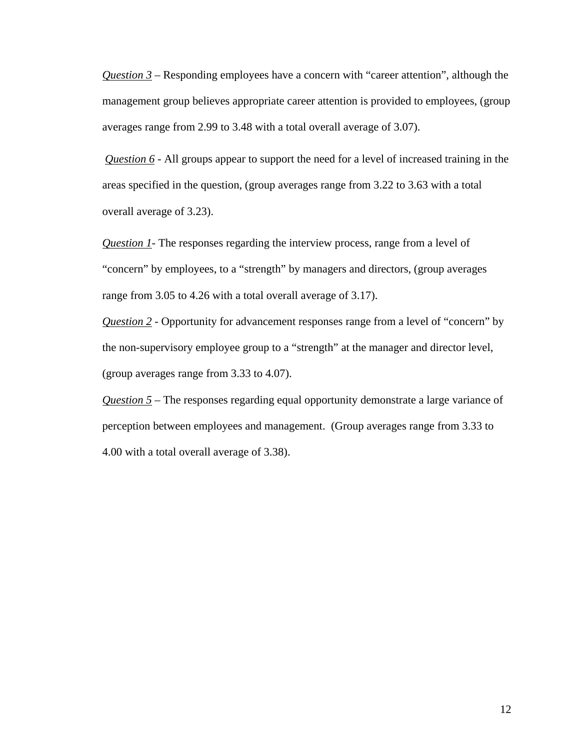*Question 3* – Responding employees have a concern with "career attention", although the management group believes appropriate career attention is provided to employees, (group averages range from 2.99 to 3.48 with a total overall average of 3.07).

*Question 6* - All groups appear to support the need for a level of increased training in the areas specified in the question, (group averages range from 3.22 to 3.63 with a total overall average of 3.23).

*Question 1*- The responses regarding the interview process, range from a level of "concern" by employees, to a "strength" by managers and directors, (group averages range from 3.05 to 4.26 with a total overall average of 3.17).

*Question 2* - Opportunity for advancement responses range from a level of "concern" by the non-supervisory employee group to a "strength" at the manager and director level, (group averages range from 3.33 to 4.07).

*Question 5* – The responses regarding equal opportunity demonstrate a large variance of perception between employees and management. (Group averages range from 3.33 to 4.00 with a total overall average of 3.38).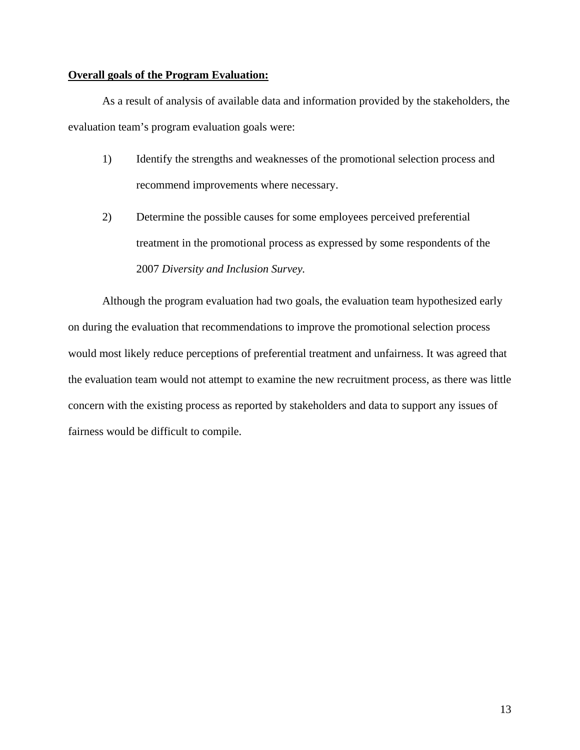#### **Overall goals of the Program Evaluation:**

As a result of analysis of available data and information provided by the stakeholders, the evaluation team's program evaluation goals were:

- 1) Identify the strengths and weaknesses of the promotional selection process and recommend improvements where necessary.
- 2) Determine the possible causes for some employees perceived preferential treatment in the promotional process as expressed by some respondents of the 2007 *Diversity and Inclusion Survey.*

Although the program evaluation had two goals, the evaluation team hypothesized early on during the evaluation that recommendations to improve the promotional selection process would most likely reduce perceptions of preferential treatment and unfairness. It was agreed that the evaluation team would not attempt to examine the new recruitment process, as there was little concern with the existing process as reported by stakeholders and data to support any issues of fairness would be difficult to compile.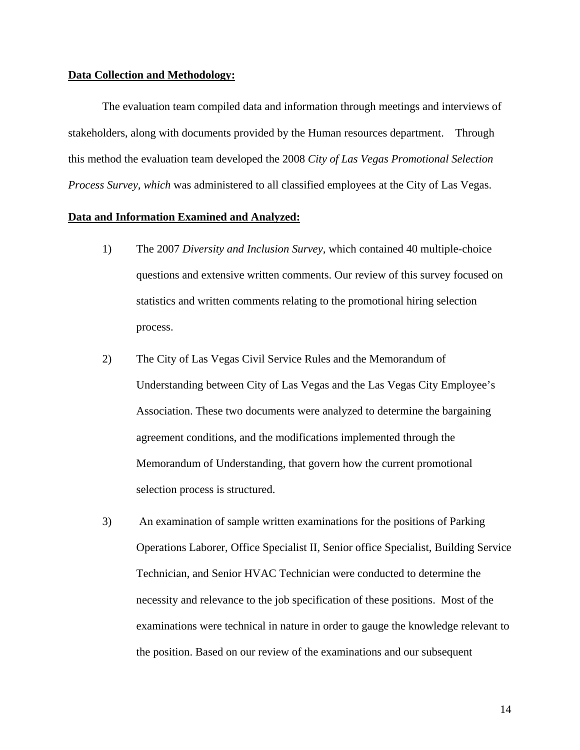#### **Data Collection and Methodology:**

The evaluation team compiled data and information through meetings and interviews of stakeholders, along with documents provided by the Human resources department. Through this method the evaluation team developed the 2008 *City of Las Vegas Promotional Selection Process Survey, which* was administered to all classified employees at the City of Las Vegas.

#### **Data and Information Examined and Analyzed:**

- 1) The 2007 *Diversity and Inclusion Survey,* which contained 40 multiple-choice questions and extensive written comments. Our review of this survey focused on statistics and written comments relating to the promotional hiring selection process.
- 2) The City of Las Vegas Civil Service Rules and the Memorandum of Understanding between City of Las Vegas and the Las Vegas City Employee's Association. These two documents were analyzed to determine the bargaining agreement conditions, and the modifications implemented through the Memorandum of Understanding, that govern how the current promotional selection process is structured.
- 3) An examination of sample written examinations for the positions of Parking Operations Laborer, Office Specialist II, Senior office Specialist, Building Service Technician, and Senior HVAC Technician were conducted to determine the necessity and relevance to the job specification of these positions. Most of the examinations were technical in nature in order to gauge the knowledge relevant to the position. Based on our review of the examinations and our subsequent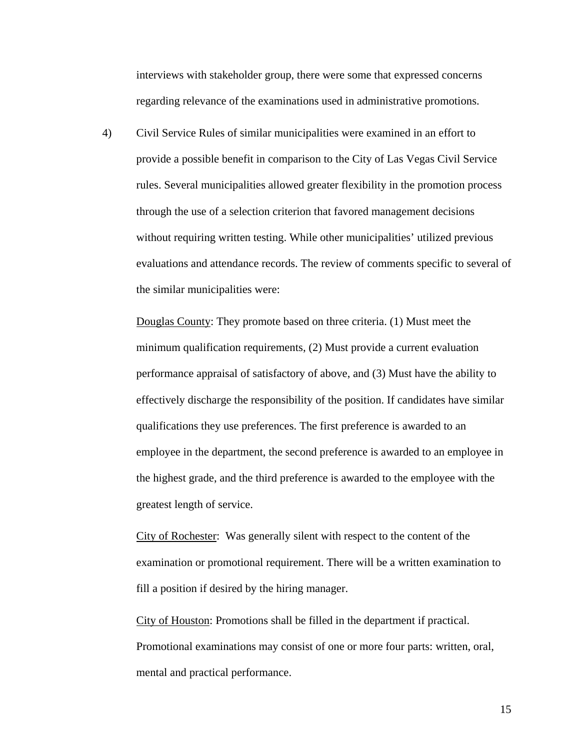interviews with stakeholder group, there were some that expressed concerns regarding relevance of the examinations used in administrative promotions.

4) Civil Service Rules of similar municipalities were examined in an effort to provide a possible benefit in comparison to the City of Las Vegas Civil Service rules. Several municipalities allowed greater flexibility in the promotion process through the use of a selection criterion that favored management decisions without requiring written testing. While other municipalities' utilized previous evaluations and attendance records. The review of comments specific to several of the similar municipalities were:

Douglas County: They promote based on three criteria. (1) Must meet the minimum qualification requirements, (2) Must provide a current evaluation performance appraisal of satisfactory of above, and (3) Must have the ability to effectively discharge the responsibility of the position. If candidates have similar qualifications they use preferences. The first preference is awarded to an employee in the department, the second preference is awarded to an employee in the highest grade, and the third preference is awarded to the employee with the greatest length of service.

City of Rochester: Was generally silent with respect to the content of the examination or promotional requirement. There will be a written examination to fill a position if desired by the hiring manager.

City of Houston: Promotions shall be filled in the department if practical. Promotional examinations may consist of one or more four parts: written, oral, mental and practical performance.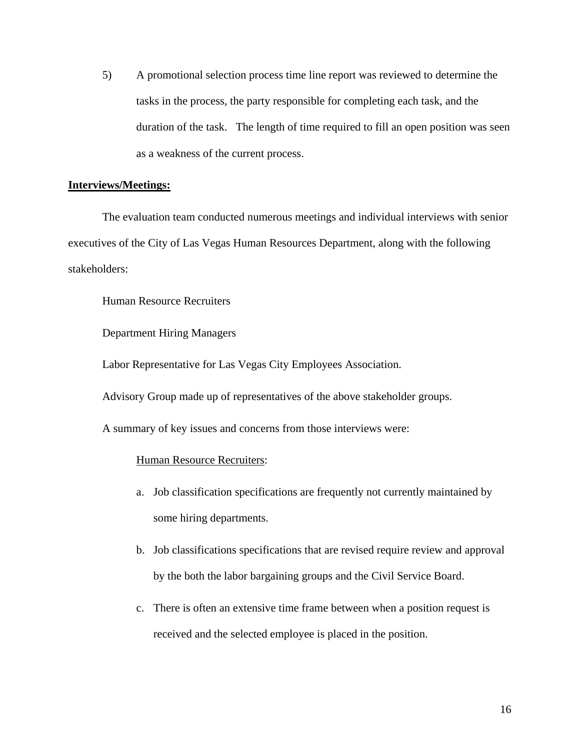5) A promotional selection process time line report was reviewed to determine the tasks in the process, the party responsible for completing each task, and the duration of the task. The length of time required to fill an open position was seen as a weakness of the current process.

#### **Interviews/Meetings:**

The evaluation team conducted numerous meetings and individual interviews with senior executives of the City of Las Vegas Human Resources Department, along with the following stakeholders:

Human Resource Recruiters

Department Hiring Managers

Labor Representative for Las Vegas City Employees Association.

Advisory Group made up of representatives of the above stakeholder groups.

A summary of key issues and concerns from those interviews were:

#### Human Resource Recruiters :

- a. Job classification specifications are frequently not currently maintained by some hiring departments.
- b. Job classifications specifications that are revised require review and approval by the both the labor bargaining groups and the Civil Service Board.
- c. There is often an extensive time frame between when a position request is received and the selected employee is placed in the position.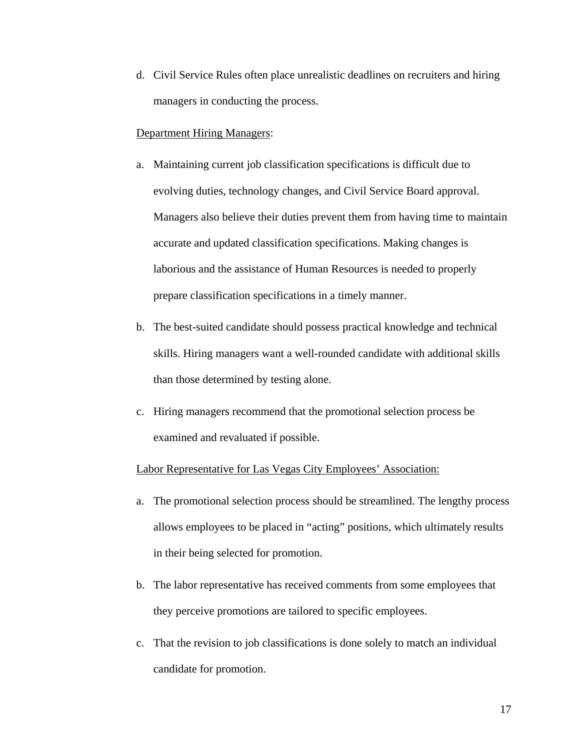d. Civil Service Rules often place unrealistic deadlines on recruiters and hiring managers in conducting the process.

#### **Department Hiring Managers:**

- a. Maintaining current job classification specifications is difficult due to evolving duties, technology changes, and Civil Service Board approval. Managers also believe their duties prevent them from having time to maintain accurate and updated classification specifications. Making changes is laborious and the assistance of Human Resources is needed to properly prepare classification specifications in a timely manner.
- b. The best-suited candidate should possess practical knowledge and technical skills. Hiring managers want a well-rounded candidate with additional skills than those determined by testing alone.
- c. Hiring managers recommend that the promotional selection process be examined and revaluated if possible.

#### Labor Representative for Las Vegas City Employees' Association:

- a. The promotional selection process should be streamlined. The lengthy process allows employees to be placed in "acting" positions, which ultimately results in their being selected for promotion.
- b. The labor representative has received comments from some employees that they perceive promotions are tailored to specific employees.
- c. That the revision to job classifications is done solely to match an individual candidate for promotion.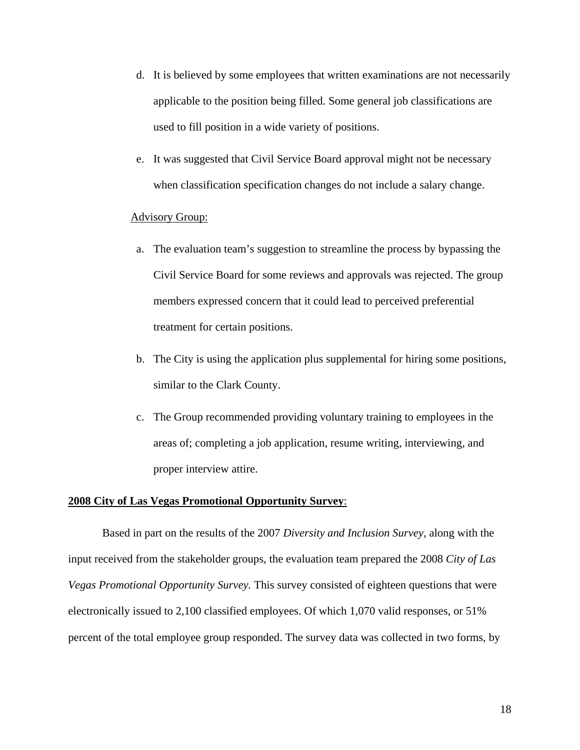- d. It is believed by some employees that written examinations are not necessarily applicable to the position being filled. Some general job classifications are used to fill position in a wide variety of positions.
- e. It was suggested that Civil Service Board approval might not be necessary when classification specification changes do not include a salary change.

#### Advisory Group:

- a. The evaluation team's suggestion to streamline the process by bypassing the Civil Service Board for some reviews and approvals was rejected. The group members expressed concern that it could lead to perceived preferential treatment for certain positions.
- b. The City is using the application plus supplemental for hiring some positions, similar to the Clark County.
- c. The Group recommended providing voluntary training to employees in the areas of; completing a job application, resume writing, interviewing, and proper interview attire.

#### **2008 City of Las Vegas Promotional Opportunity Survey**:

Based in part on the results of the 2007 *Diversity and Inclusion Survey,* along with the input received from the stakeholder groups, the evaluation team prepared the 2008 *City of Las Vegas Promotional Opportunity Survey.* This survey consisted of eighteen questions that were electronically issued to 2,100 classified employees. Of which 1,070 valid responses, or 51% percent of the total employee group responded. The survey data was collected in two forms, by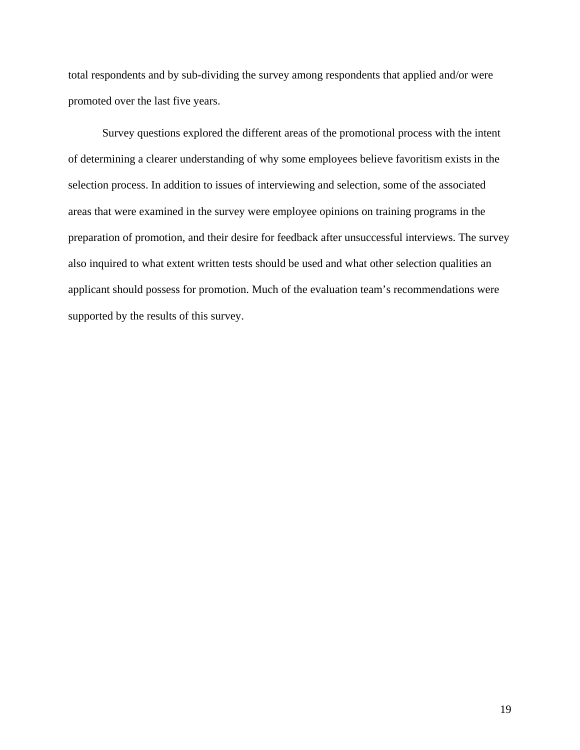total respondents and by sub-dividing the survey among respondents that applied and/or were promoted over the last five years.

Survey questions explored the different areas of the promotional process with the intent of determining a clearer understanding of why some employees believe favoritism exists in the selection process. In addition to issues of interviewing and selection, some of the associated areas that were examined in the survey were employee opinions on training programs in the preparation of promotion, and their desire for feedback after unsuccessful interviews. The survey also inquired to what extent written tests should be used and what other selection qualities an applicant should possess for promotion. Much of the evaluation team's recommendations were supported by the results of this survey.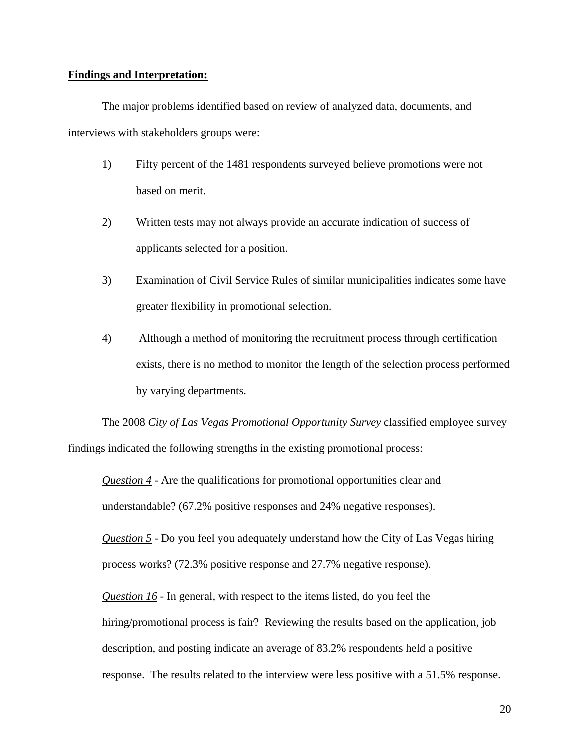#### **Findings and Interpretation:**

The major problems identified based on review of analyzed data, documents, and interviews with stakeholders groups were:

- 1) Fifty percent of the 1481 respondents surveyed believe promotions were not based on merit.
- 2) Written tests may not always provide an accurate indication of success of applicants selected for a position.
- 3) Examination of Civil Service Rules of similar municipalities indicates some have greater flexibility in promotional selection.
- 4) Although a method of monitoring the recruitment process through certification exists, there is no method to monitor the length of the selection process performed by varying departments.

The 2008 *City of Las Vegas Promotional Opportunity Survey* classified employee survey findings indicated the following strengths in the existing promotional process:

*Question 4* - Are the qualifications for promotional opportunities clear and understandable? (67.2% positive responses and 24% negative responses).

*Question 5* - Do you feel you adequately understand how the City of Las Vegas hiring process works? (72.3% positive response and 27.7% negative response).

*Question 16* - In general, with respect to the items listed, do you feel the

hiring/promotional process is fair? Reviewing the results based on the application, job description, and posting indicate an average of 83.2% respondents held a positive response. The results related to the interview were less positive with a 51.5% response.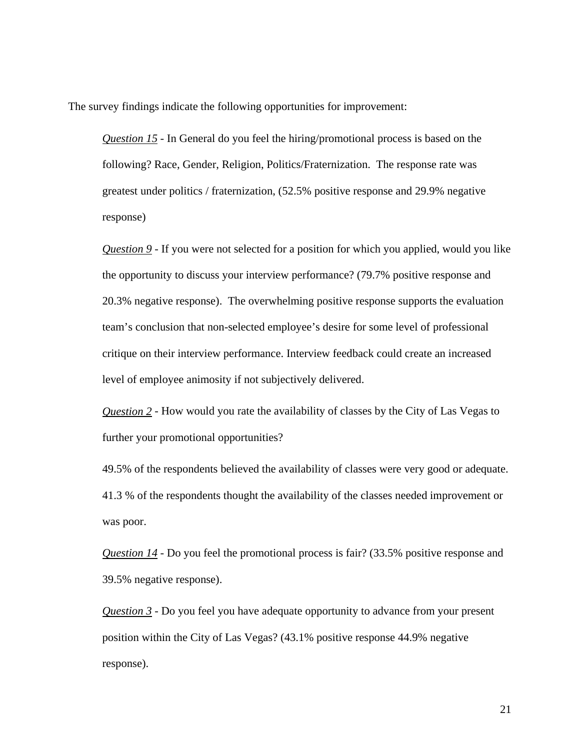The survey findings indicate the following opportunities for improvement:

*Question 15* - In General do you feel the hiring/promotional process is based on the following? Race, Gender, Religion, Politics/Fraternization. The response rate was greatest under politics / fraternization, (52.5% positive response and 29.9% negative response)

*Question 9* - If you were not selected for a position for which you applied, would you like the opportunity to discuss your interview performance? (79.7% positive response and 20.3% negative response). The overwhelming positive response supports the evaluation team's conclusion that non-selected employee's desire for some level of professional critique on their interview performance. Interview feedback could create an increased level of employee animosity if not subjectively delivered.

*Question 2* - How would you rate the availability of classes by the City of Las Vegas to further your promotional opportunities?

49.5% of the respondents believed the availability of classes were very good or adequate. 41.3 % of the respondents thought the availability of the classes needed improvement or was poor.

*Question 14* - Do you feel the promotional process is fair? (33.5% positive response and 39.5% negative response).

*Question 3* - Do you feel you have adequate opportunity to advance from your present position within the City of Las Vegas? (43.1% positive response 44.9% negative response).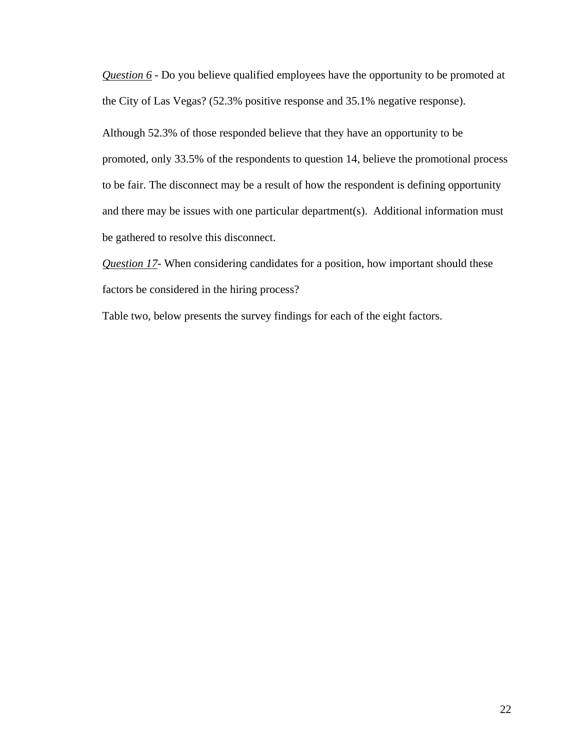*Question 6* - Do you believe qualified employees have the opportunity to be promoted at the City of Las Vegas? (52.3% positive response and 35.1% negative response).

Although 52.3% of those responded believe that they have an opportunity to be promoted, only 33.5% of the respondents to question 14, believe the promotional process to be fair. The disconnect may be a result of how the respondent is defining opportunity and there may be issues with one particular department(s). Additional information must be gathered to resolve this disconnect.

*Question 17* - When considering candidates for a position, how important should these factors be considered in the hiring process?

Table two, below presents the survey findings for each of the eight factors.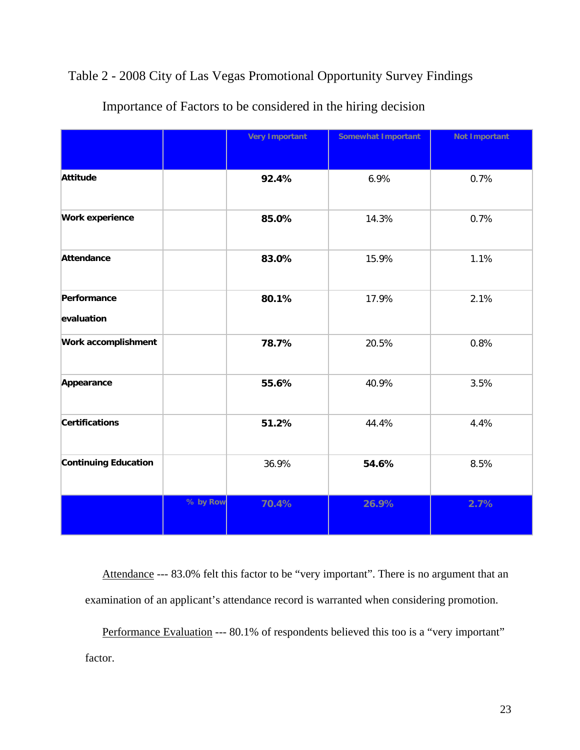## Table 2 - 2008 City of Las Vegas Promotional Opportunity Survey Findings

|                             |          | <b>Very Important</b> | Somewhat Important | <b>Not Important</b> |
|-----------------------------|----------|-----------------------|--------------------|----------------------|
| Attitude                    |          | 92.4%                 | 6.9%               | 0.7%                 |
| Work experience             |          | 85.0%                 | 14.3%              | 0.7%                 |
| Attendance                  |          | 83.0%                 | 15.9%              | 1.1%                 |
| Performance<br>evaluation   |          | 80.1%                 | 17.9%              | 2.1%                 |
| Work accomplishment         |          | 78.7%                 | 20.5%              | 0.8%                 |
| Appearance                  |          | 55.6%                 | 40.9%              | 3.5%                 |
| <b>Certifications</b>       |          | 51.2%                 | 44.4%              | 4.4%                 |
| <b>Continuing Education</b> |          | 36.9%                 | 54.6%              | 8.5%                 |
|                             | % by Row | 70.4%                 | 26.9%              | 2.7%                 |

## Importance of Factors to be considered in the hiring decision

Attendance --- 83.0% felt this factor to be "very important". There is no argument that an examination of an applicant's attendance record is warranted when considering promotion.

Performance Evaluation --- 80.1% of respondents believed this too is a "very important" factor.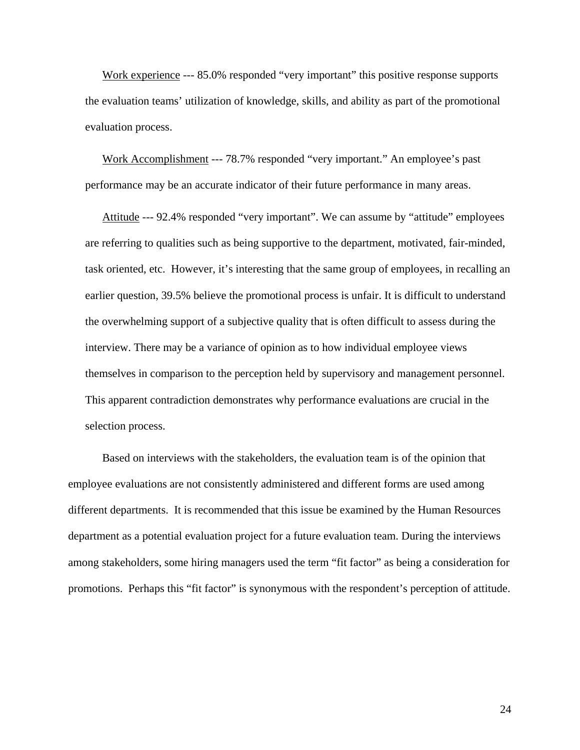Work experience --- 85.0% responded "very important" this positive response supports the evaluation teams' utilization of knowledge, skills, and ability as part of the promotional evaluation process.

Work Accomplishment --- 78.7% responded "very important." An employee's past performance may be an accurate indicator of their future performance in many areas.

Attitude --- 92.4% responded "very important". We can assume by "attitude" employees are referring to qualities such as being supportive to the department, motivated, fair-minded, task oriented, etc. However, it's interesting that the same group of employees, in recalling an earlier question, 39.5% believe the promotional process is unfair. It is difficult to understand the overwhelming support of a subjective quality that is often difficult to assess during the interview. There may be a variance of opinion as to how individual employee views themselves in comparison to the perception held by supervisory and management personnel. This apparent contradiction demonstrates why performance evaluations are crucial in the selection process.

Based on interviews with the stakeholders, the evaluation team is of the opinion that employee evaluations are not consistently administered and different forms are used among different departments. It is recommended that this issue be examined by the Human Resources department as a potential evaluation project for a future evaluation team. During the interviews among stakeholders, some hiring managers used the term "fit factor" as being a consideration for promotions. Perhaps this "fit factor" is synonymous with the respondent's perception of attitude.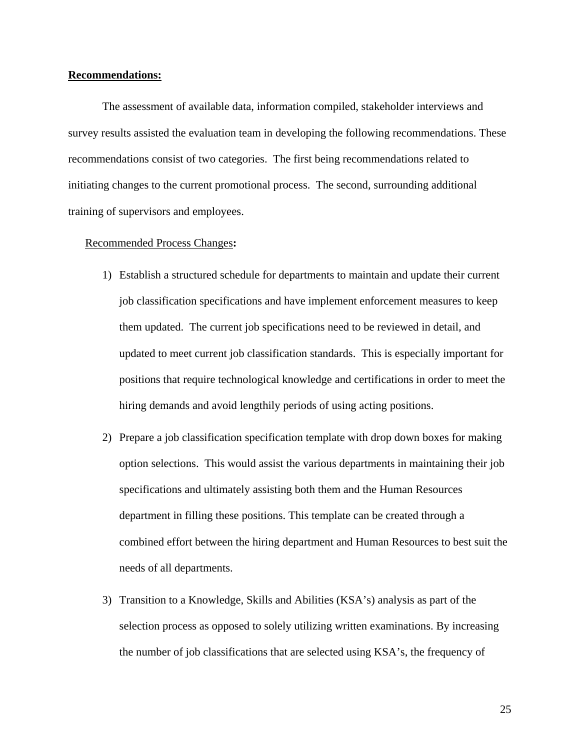#### **Recommendations:**

The assessment of available data, information compiled, stakeholder interviews and survey results assisted the evaluation team in developing the following recommendations. These recommendations consist of two categories. The first being recommendations related to initiating changes to the current promotional process. The second, surrounding additional training of supervisors and employees.

#### Recommended Process Changes **:**

- 1) Establish a structured schedule for departments to maintain and update their current job classification specifications and have implement enforcement measures to keep them updated. The current job specifications need to be reviewed in detail, and updated to meet current job classification standards. This is especially important for positions that require technological knowledge and certifications in order to meet the hiring demands and avoid lengthily periods of using acting positions.
- 2) Prepare a job classification specification template with drop down boxes for making option selections. This would assist the various departments in maintaining their job specifications and ultimately assisting both them and the Human Resources department in filling these positions. This template can be created through a combined effort between the hiring department and Human Resources to best suit the needs of all departments.
- 3) Transition to a Knowledge, Skills and Abilities (KSA's) analysis as part of the selection process as opposed to solely utilizing written examinations. By increasing the number of job classifications that are selected using KSA's, the frequency of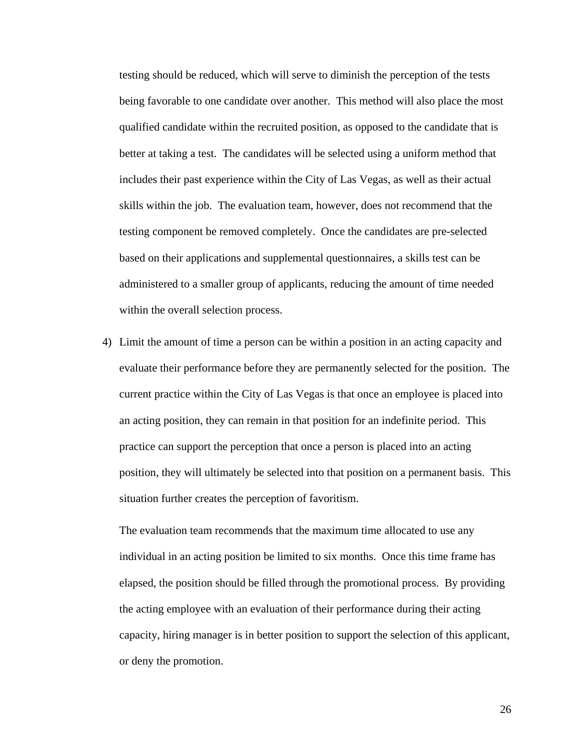testing should be reduced, which will serve to diminish the perception of the tests being favorable to one candidate over another. This method will also place the most qualified candidate within the recruited position, as opposed to the candidate that is better at taking a test. The candidates will be selected using a uniform method that includes their past experience within the City of Las Vegas, as well as their actual skills within the job. The evaluation team, however, does not recommend that the testing component be removed completely. Once the candidates are pre-selected based on their applications and supplemental questionnaires, a skills test can be administered to a smaller group of applicants, reducing the amount of time needed within the overall selection process.

4) Limit the amount of time a person can be within a position in an acting capacity and evaluate their performance before they are permanently selected for the position. The current practice within the City of Las Vegas is that once an employee is placed into an acting position, they can remain in that position for an indefinite period. This practice can support the perception that once a person is placed into an acting position, they will ultimately be selected into that position on a permanent basis. This situation further creates the perception of favoritism.

The evaluation team recommends that the maximum time allocated to use any individual in an acting position be limited to six months. Once this time frame has elapsed, the position should be filled through the promotional process. By providing the acting employee with an evaluation of their performance during their acting capacity, hiring manager is in better position to support the selection of this applicant, or deny the promotion.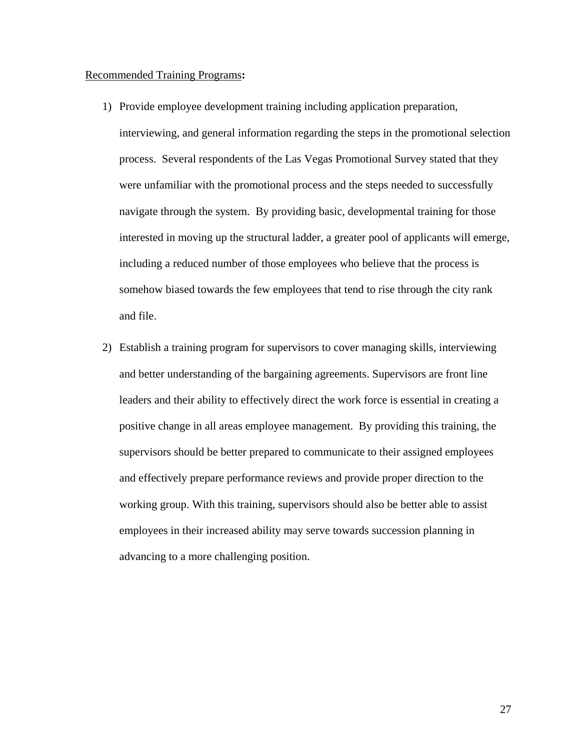#### Recommended Training Programs **:**

1) Provide employee development training including application preparation,

interviewing, and general information regarding the steps in the promotional selection process. Several respondents of the Las Vegas Promotional Survey stated that they were unfamiliar with the promotional process and the steps needed to successfully navigate through the system. By providing basic, developmental training for those interested in moving up the structural ladder, a greater pool of applicants will emerge, including a reduced number of those employees who believe that the process is somehow biased towards the few employees that tend to rise through the city rank and file.

2) Establish a training program for supervisors to cover managing skills, interviewing and better understanding of the bargaining agreements. Supervisors are front line leaders and their ability to effectively direct the work force is essential in creating a positive change in all areas employee management. By providing this training, the supervisors should be better prepared to communicate to their assigned employees and effectively prepare performance reviews and provide proper direction to the working group. With this training, supervisors should also be better able to assist employees in their increased ability may serve towards succession planning in advancing to a more challenging position.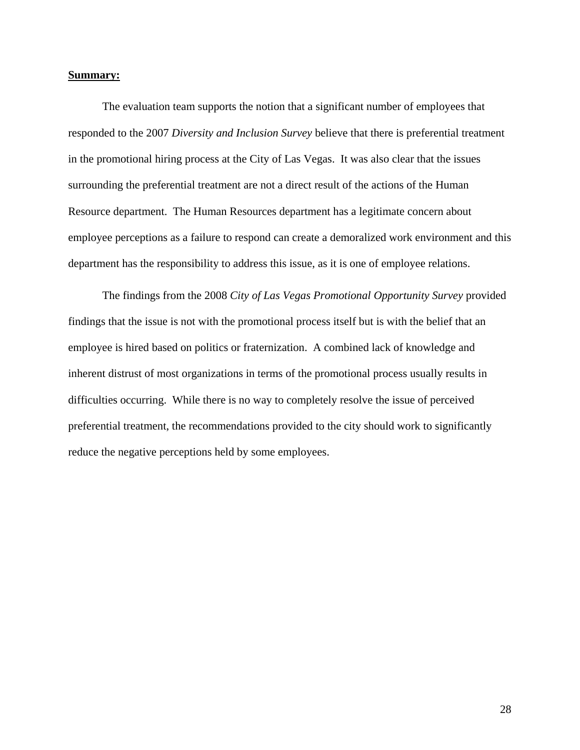#### **Summary:**

The evaluation team supports the notion that a significant number of employees that responded to the 2007 *Diversity and Inclusion Survey* believe that there is preferential treatment in the promotional hiring process at the City of Las Vegas. It was also clear that the issues surrounding the preferential treatment are not a direct result of the actions of the Human Resource department. The Human Resources department has a legitimate concern about employee perceptions as a failure to respond can create a demoralized work environment and this department has the responsibility to address this issue, as it is one of employee relations.

The findings from the 2008 *City of Las Vegas Promotional Opportunity Survey* provided findings that the issue is not with the promotional process itself but is with the belief that an employee is hired based on politics or fraternization. A combined lack of knowledge and inherent distrust of most organizations in terms of the promotional process usually results in difficulties occurring. While there is no way to completely resolve the issue of perceived preferential treatment, the recommendations provided to the city should work to significantly reduce the negative perceptions held by some employees.